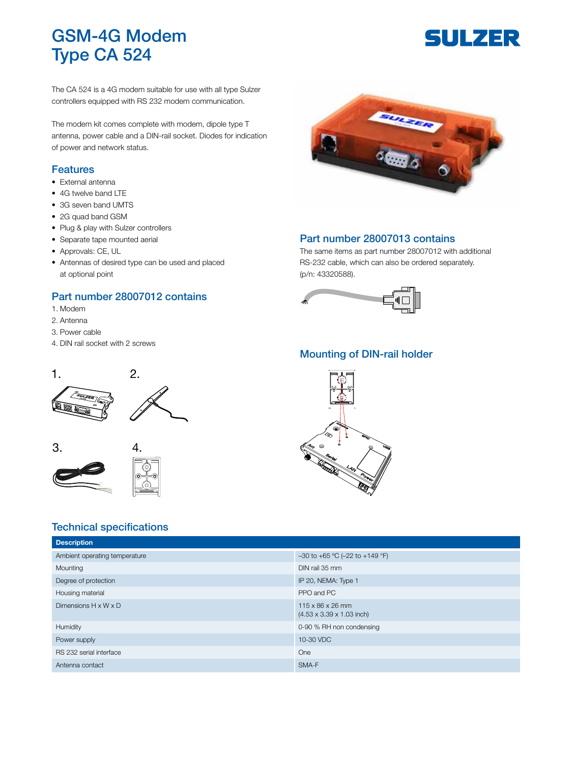## GSM-4G Modem Type CA 524

# **SULZER**

The CA 524 is a 4G modem suitable for use with all type Sulzer controllers equipped with RS 232 modem communication.

The modem kit comes complete with modem, dipole type T antenna, power cable and a DIN-rail socket. Diodes for indication of power and network status.

## Features

- External antenna
- 4G twelve band LTE
- 3G seven band UMTS
- 2G quad band GSM
- Plug & play with Sulzer controllers
- Separate tape mounted aerial
- Approvals: CE, UL
- Antennas of desired type can be used and placed at optional point

## Part number 28007012 contains

- 1. Modem
- 2. Antenna
- 3. Power cable

 $3. 4.$ 

4. DIN rail socket with 2 screws



#### Part number 28007013 contains

The same items as part number 28007012 with additional RS-232 cable, which can also be ordered separately. (p/n: 43320588).



## Mounting of DIN-rail holder



## Technical specifications

| <b>Description</b>               |                                                                       |
|----------------------------------|-----------------------------------------------------------------------|
| Ambient operating temperature    | $-30$ to $+65$ °C ( $-22$ to $+149$ °F)                               |
| Mounting                         | DIN rail 35 mm                                                        |
| Degree of protection             | IP 20, NEMA: Type 1                                                   |
| Housing material                 | PPO and PC                                                            |
| Dimensions $H \times W \times D$ | $115 \times 86 \times 26$ mm<br>$(4.53 \times 3.39 \times 1.03$ inch) |
| Humidity                         | 0-90 % RH non condensing                                              |
| Power supply                     | 10-30 VDC                                                             |
| RS 232 serial interface          | One                                                                   |
| Antenna contact                  | SMA-F                                                                 |